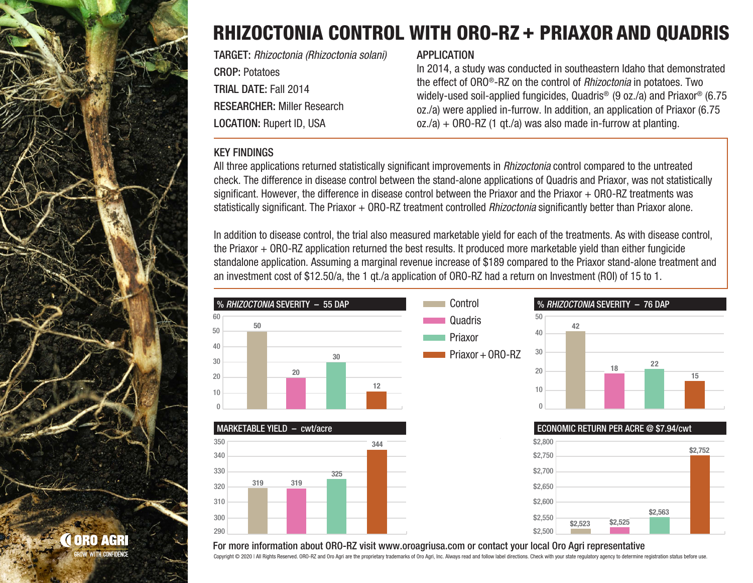

## RHIZOCTONIA CONTROL WITH ORO-RZ + PRIAXOR AND QUADRIS

TARGET: *Rhizoctonia (Rhizoctonia solani)* CROP: Potatoes TRIAL DATE: Fall 2014 RESEARCHER: Miller Research LOCATION: Rupert ID, USA

#### **APPLICATION**

In 2014, a study was conducted in southeastern Idaho that demonstrated the effect of ORO®-RZ on the control of *Rhizoctonia* in potatoes. Two widely-used soil-applied fungicides, Quadris<sup>®</sup> (9 oz./a) and Priaxor<sup>®</sup> (6.75 oz./a) were applied in-furrow. In addition, an application of Priaxor (6.75  $oz/a$ ) + ORO-RZ (1 qt./a) was also made in-furrow at planting.

### KEY FINDINGS

350

340

60

50

All three applications returned statistically significant improvements in *Rhizoctonia* control compared to the untreated check. The difference in disease control between the stand-alone applications of Quadris and Priaxor, was not statistically significant. However, the difference in disease control between the Priaxor and the Priaxor + ORO-RZ treatments was statistically significant. The Priaxor + ORO-RZ treatment controlled *Rhizoctonia* significantly better than Priaxor alone.

In addition to disease control, the trial also measured marketable yield for each of the treatments. As with disease control, the Priaxor + ORO-RZ application returned the best results. It produced more marketable yield than either fungicide standalone application. Assuming a marginal revenue increase of \$189 compared to the Priaxor stand-alone treatment and an investment cost of \$12.50/a, the 1 qt./a application of ORO-RZ had a return on Investment (ROI) of 15 to 1.



#### For more information about ORO-RZ visit www.oroagriusa.com or contact your local Oro Agri representative

Copyright © 2020 | All Rights Reserved, ORO-RZ and Oro Agri are the proprietary trademarks of Oro Agri. Inc. Always read and follow label directions. Check with your state regulatory agency to determine registration status